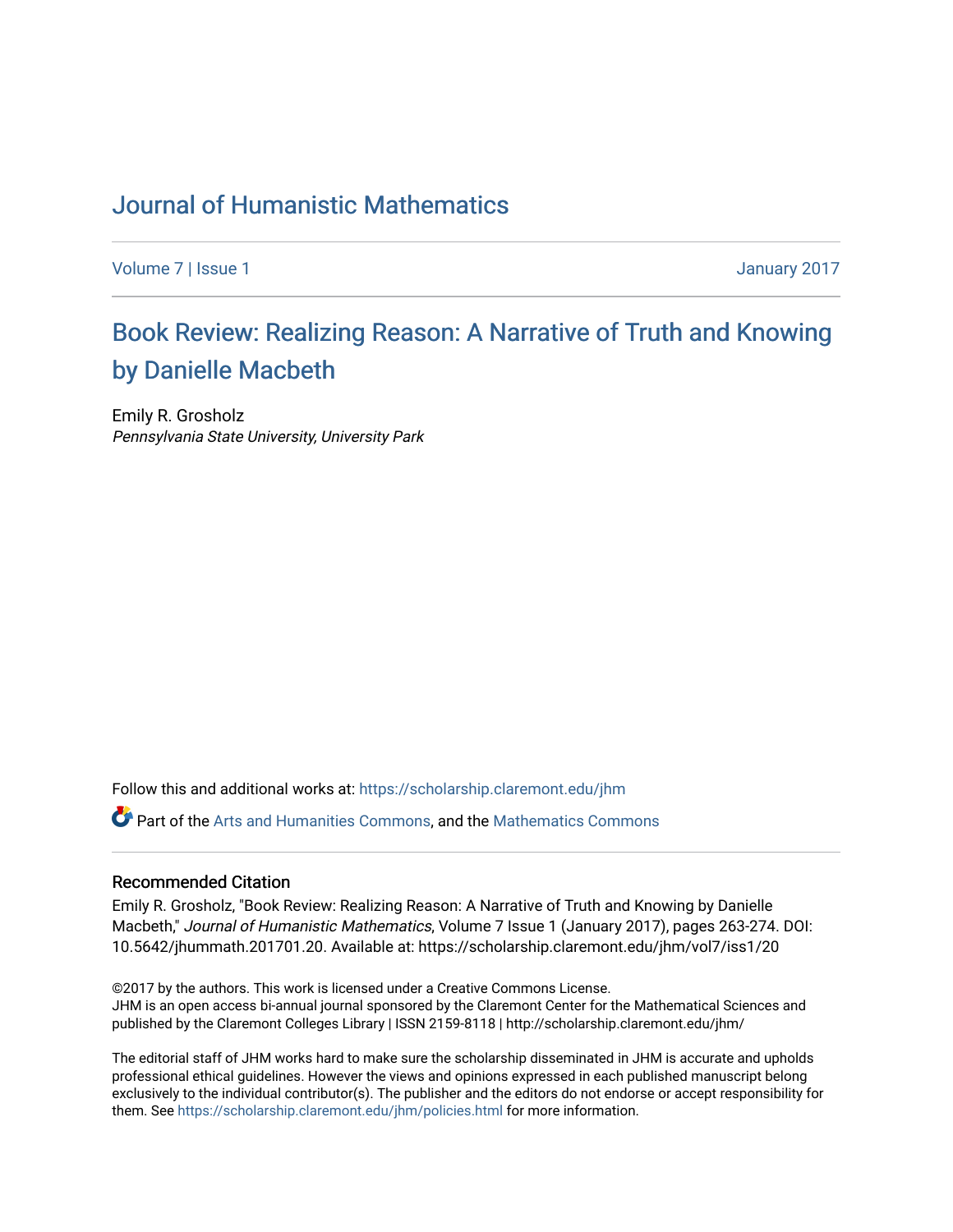## [Journal of Humanistic Mathematics](https://scholarship.claremont.edu/jhm)

[Volume 7](https://scholarship.claremont.edu/jhm/vol7) | [Issue 1](https://scholarship.claremont.edu/jhm/vol7/iss1) January 2017

# Book Review: Realizing Reason: A Narrative of Truth and Knowing [by Danielle Macbeth](https://scholarship.claremont.edu/jhm/vol7/iss1/20)

Emily R. Grosholz Pennsylvania State University, University Park

Follow this and additional works at: [https://scholarship.claremont.edu/jhm](https://scholarship.claremont.edu/jhm?utm_source=scholarship.claremont.edu%2Fjhm%2Fvol7%2Fiss1%2F20&utm_medium=PDF&utm_campaign=PDFCoverPages)

Part of the [Arts and Humanities Commons,](http://network.bepress.com/hgg/discipline/438?utm_source=scholarship.claremont.edu%2Fjhm%2Fvol7%2Fiss1%2F20&utm_medium=PDF&utm_campaign=PDFCoverPages) and the [Mathematics Commons](http://network.bepress.com/hgg/discipline/174?utm_source=scholarship.claremont.edu%2Fjhm%2Fvol7%2Fiss1%2F20&utm_medium=PDF&utm_campaign=PDFCoverPages) 

#### Recommended Citation

Emily R. Grosholz, "Book Review: Realizing Reason: A Narrative of Truth and Knowing by Danielle Macbeth," Journal of Humanistic Mathematics, Volume 7 Issue 1 (January 2017), pages 263-274. DOI: 10.5642/jhummath.201701.20. Available at: https://scholarship.claremont.edu/jhm/vol7/iss1/20

©2017 by the authors. This work is licensed under a Creative Commons License. JHM is an open access bi-annual journal sponsored by the Claremont Center for the Mathematical Sciences and published by the Claremont Colleges Library | ISSN 2159-8118 | http://scholarship.claremont.edu/jhm/

The editorial staff of JHM works hard to make sure the scholarship disseminated in JHM is accurate and upholds professional ethical guidelines. However the views and opinions expressed in each published manuscript belong exclusively to the individual contributor(s). The publisher and the editors do not endorse or accept responsibility for them. See<https://scholarship.claremont.edu/jhm/policies.html> for more information.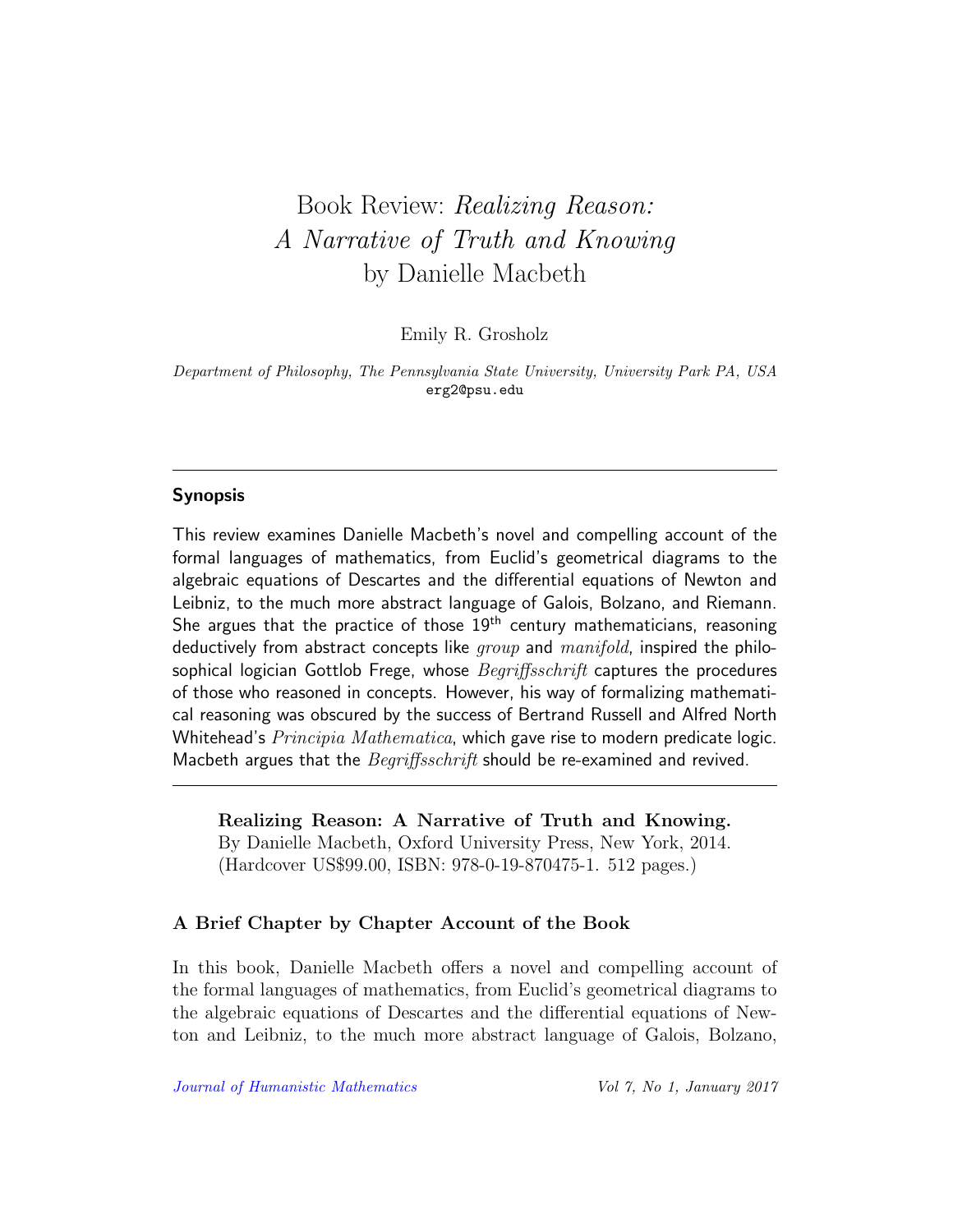# Book Review: Realizing Reason: A Narrative of Truth and Knowing by Danielle Macbeth

Emily R. Grosholz

Department of Philosophy, The Pennsylvania State University, University Park PA, USA erg2@psu.edu

### Synopsis

This review examines Danielle Macbeth's novel and compelling account of the formal languages of mathematics, from Euclid's geometrical diagrams to the algebraic equations of Descartes and the differential equations of Newton and Leibniz, to the much more abstract language of Galois, Bolzano, and Riemann. She argues that the practice of those  $19<sup>th</sup>$  century mathematicians, reasoning deductively from abstract concepts like  $qroup$  and  $manifold$ , inspired the philosophical logician Gottlob Frege, whose *Begriffsschrift* captures the procedures of those who reasoned in concepts. However, his way of formalizing mathematical reasoning was obscured by the success of Bertrand Russell and Alfred North Whitehead's *Principia Mathematica*, which gave rise to modern predicate logic. Macbeth argues that the Begriffsschrift should be re-examined and revived.

Realizing Reason: A Narrative of Truth and Knowing. By Danielle Macbeth, Oxford University Press, New York, 2014. (Hardcover US\$99.00, ISBN: 978-0-19-870475-1. 512 pages.)

#### A Brief Chapter by Chapter Account of the Book

In this book, Danielle Macbeth offers a novel and compelling account of the formal languages of mathematics, from Euclid's geometrical diagrams to the algebraic equations of Descartes and the differential equations of Newton and Leibniz, to the much more abstract language of Galois, Bolzano,

[Journal of Humanistic Mathematics](http://scholarship.claremont.edu/jhm/) Vol 7, No 1, January 2017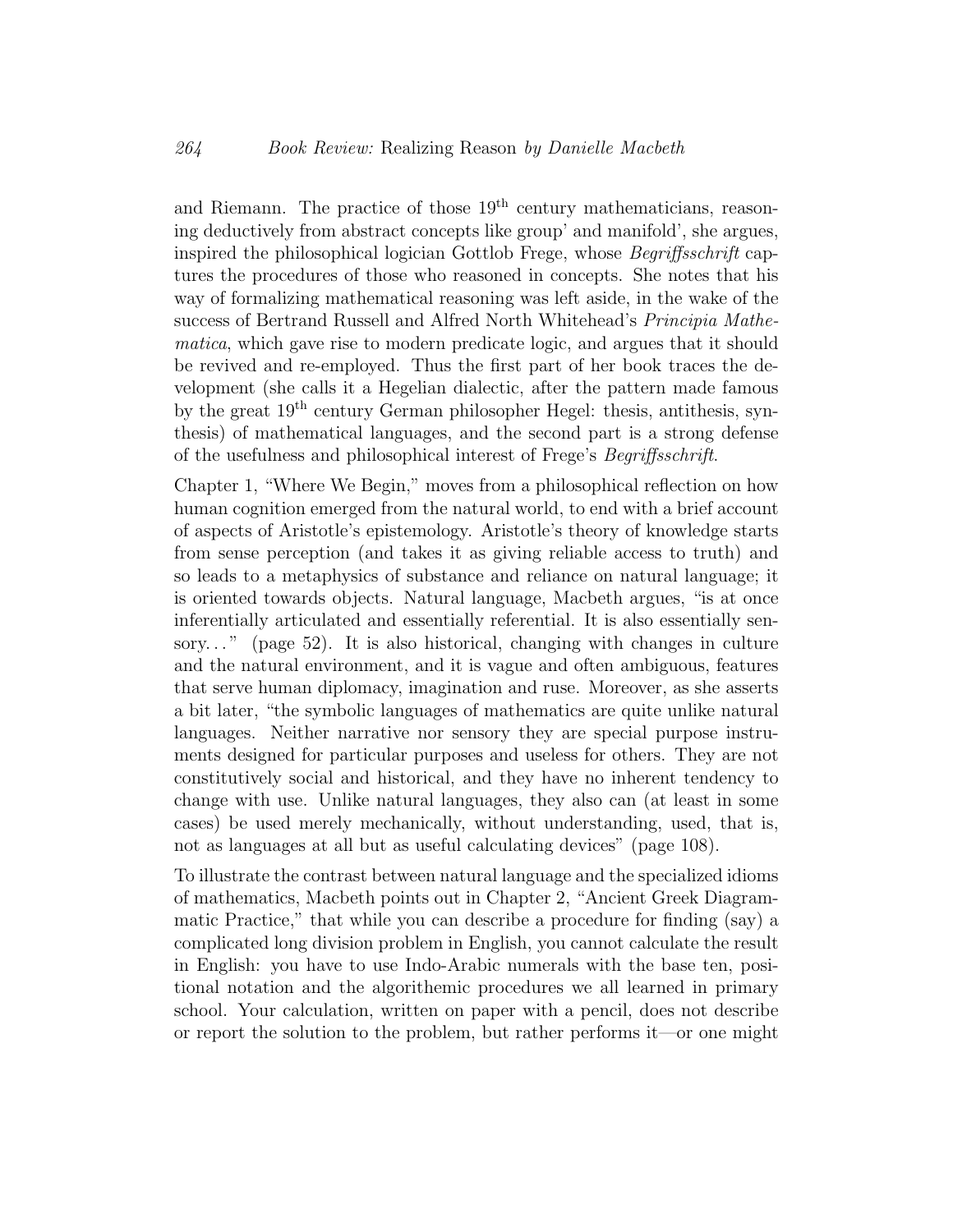and Riemann. The practice of those  $19<sup>th</sup>$  century mathematicians, reasoning deductively from abstract concepts like group' and manifold', she argues, inspired the philosophical logician Gottlob Frege, whose Begriffsschrift captures the procedures of those who reasoned in concepts. She notes that his way of formalizing mathematical reasoning was left aside, in the wake of the success of Bertrand Russell and Alfred North Whitehead's *Principia Mathe*matica, which gave rise to modern predicate logic, and argues that it should be revived and re-employed. Thus the first part of her book traces the development (she calls it a Hegelian dialectic, after the pattern made famous by the great 19th century German philosopher Hegel: thesis, antithesis, synthesis) of mathematical languages, and the second part is a strong defense of the usefulness and philosophical interest of Frege's Begriffsschrift.

Chapter 1, "Where We Begin," moves from a philosophical reflection on how human cognition emerged from the natural world, to end with a brief account of aspects of Aristotle's epistemology. Aristotle's theory of knowledge starts from sense perception (and takes it as giving reliable access to truth) and so leads to a metaphysics of substance and reliance on natural language; it is oriented towards objects. Natural language, Macbeth argues, "is at once inferentially articulated and essentially referential. It is also essentially sensory..." (page 52). It is also historical, changing with changes in culture and the natural environment, and it is vague and often ambiguous, features that serve human diplomacy, imagination and ruse. Moreover, as she asserts a bit later, "the symbolic languages of mathematics are quite unlike natural languages. Neither narrative nor sensory they are special purpose instruments designed for particular purposes and useless for others. They are not constitutively social and historical, and they have no inherent tendency to change with use. Unlike natural languages, they also can (at least in some cases) be used merely mechanically, without understanding, used, that is, not as languages at all but as useful calculating devices" (page 108).

To illustrate the contrast between natural language and the specialized idioms of mathematics, Macbeth points out in Chapter 2, "Ancient Greek Diagrammatic Practice," that while you can describe a procedure for finding (say) a complicated long division problem in English, you cannot calculate the result in English: you have to use Indo-Arabic numerals with the base ten, positional notation and the algorithemic procedures we all learned in primary school. Your calculation, written on paper with a pencil, does not describe or report the solution to the problem, but rather performs it—or one might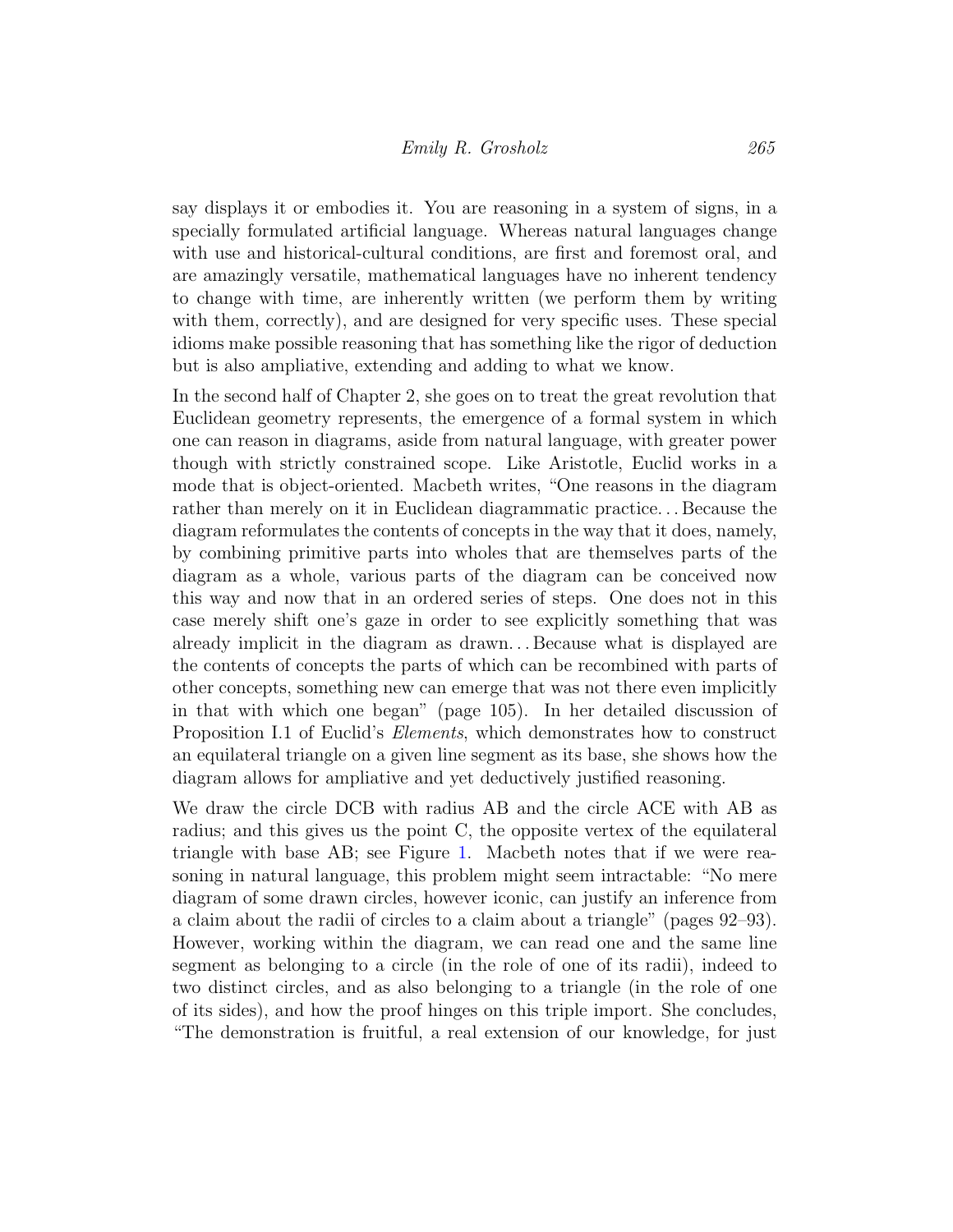say displays it or embodies it. You are reasoning in a system of signs, in a specially formulated artificial language. Whereas natural languages change with use and historical-cultural conditions, are first and foremost oral, and are amazingly versatile, mathematical languages have no inherent tendency to change with time, are inherently written (we perform them by writing with them, correctly), and are designed for very specific uses. These special idioms make possible reasoning that has something like the rigor of deduction but is also ampliative, extending and adding to what we know.

In the second half of Chapter 2, she goes on to treat the great revolution that Euclidean geometry represents, the emergence of a formal system in which one can reason in diagrams, aside from natural language, with greater power though with strictly constrained scope. Like Aristotle, Euclid works in a mode that is object-oriented. Macbeth writes, "One reasons in the diagram rather than merely on it in Euclidean diagrammatic practice. . . Because the diagram reformulates the contents of concepts in the way that it does, namely, by combining primitive parts into wholes that are themselves parts of the diagram as a whole, various parts of the diagram can be conceived now this way and now that in an ordered series of steps. One does not in this case merely shift one's gaze in order to see explicitly something that was already implicit in the diagram as drawn. . . Because what is displayed are the contents of concepts the parts of which can be recombined with parts of other concepts, something new can emerge that was not there even implicitly in that with which one began" (page 105). In her detailed discussion of Proposition I.1 of Euclid's Elements, which demonstrates how to construct an equilateral triangle on a given line segment as its base, she shows how the diagram allows for ampliative and yet deductively justified reasoning.

We draw the circle DCB with radius AB and the circle ACE with AB as radius; and this gives us the point C, the opposite vertex of the equilateral triangle with base AB; see Figure [1.](#page-4-0) Macbeth notes that if we were reasoning in natural language, this problem might seem intractable: "No mere diagram of some drawn circles, however iconic, can justify an inference from a claim about the radii of circles to a claim about a triangle" (pages 92–93). However, working within the diagram, we can read one and the same line segment as belonging to a circle (in the role of one of its radii), indeed to two distinct circles, and as also belonging to a triangle (in the role of one of its sides), and how the proof hinges on this triple import. She concludes, "The demonstration is fruitful, a real extension of our knowledge, for just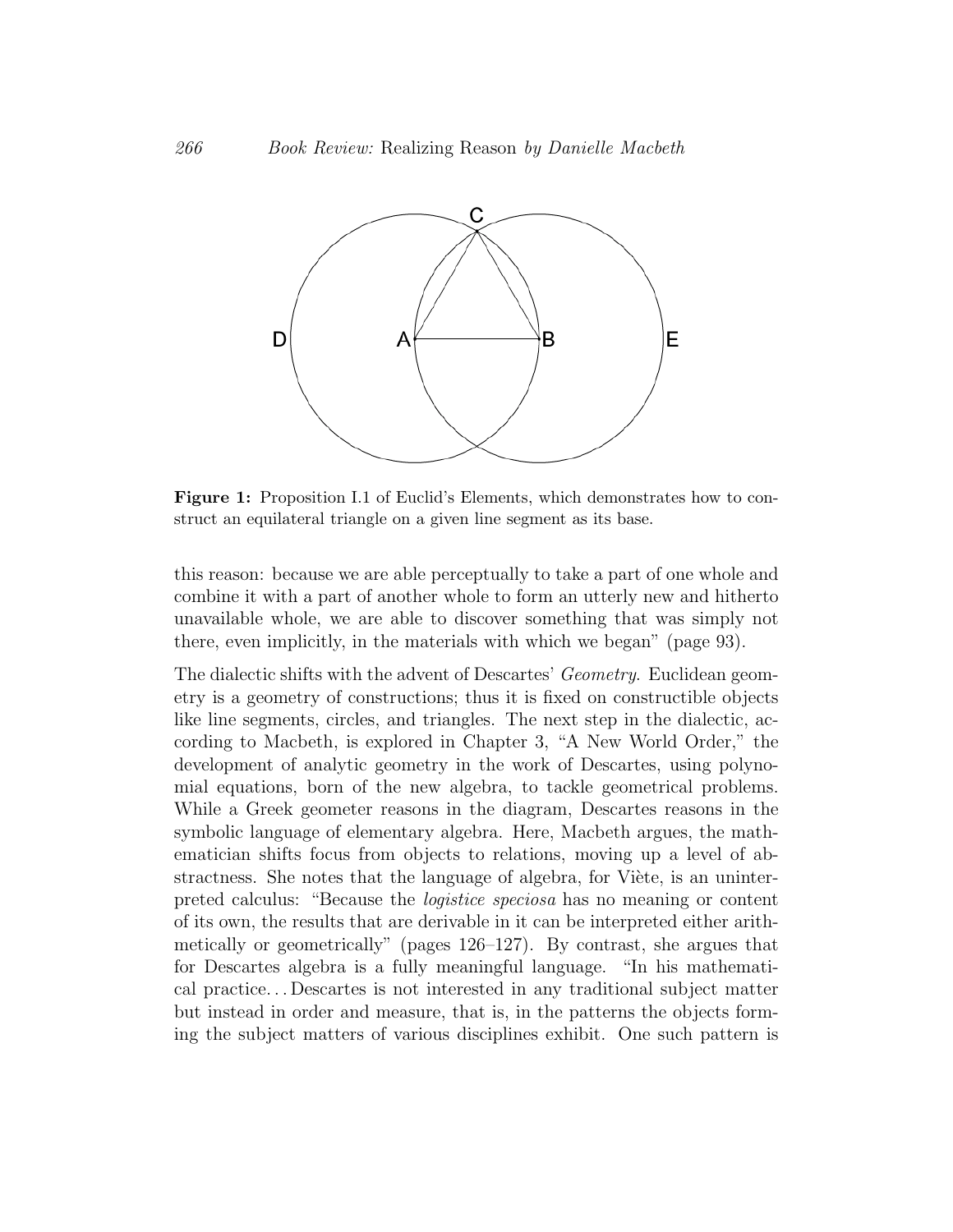<span id="page-4-0"></span>

Figure 1: Proposition I.1 of Euclid's Elements, which demonstrates how to construct an equilateral triangle on a given line segment as its base.

this reason: because we are able perceptually to take a part of one whole and combine to with a part of another whole to form an attenty frew and monerto<br>unavailable whole, we are able to discover something that was simply not combine it with a part of another whole to form an utterly new and hitherto there, even implicitly, in the materials with which we began" (page 93).

The dialectic shifts with the advent of Descartes' *Geometry*. Euclidean geometry is a geometry of constructions; thus it is fixed on constructible objects like line segments, circles, and triangles. The next step in the dialectic, according to Macbeth, is explored in Chapter 3, "A New World Order," the development of analytic geometry in the work of Descartes, using polynomial equations, born of the new algebra, to tackle geometrical problems. While a Greek geometer reasons in the diagram, Descartes reasons in the symbolic language of elementary algebra. Here, Macbeth argues, the mathematician shifts focus from objects to relations, moving up a level of abstractness. She notes that the language of algebra, for Viète, is an uninterpreted calculus: "Because the logistice speciosa has no meaning or content of its own, the results that are derivable in it can be interpreted either arithmetically or geometrically" (pages 126–127). By contrast, she argues that for Descartes algebra is a fully meaningful language. "In his mathematical practice. . . Descartes is not interested in any traditional subject matter but instead in order and measure, that is, in the patterns the objects forming the subject matters of various disciplines exhibit. One such pattern is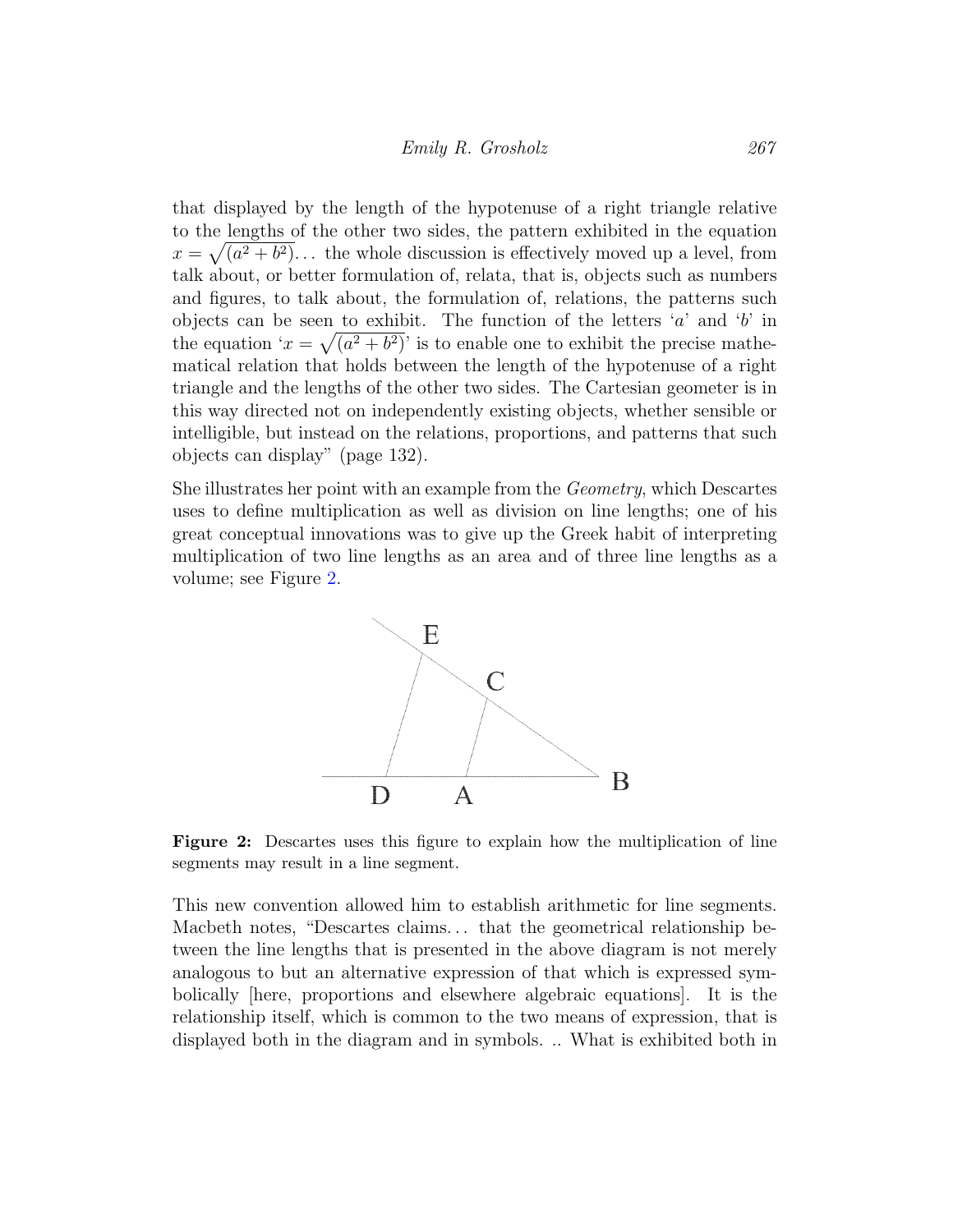that displayed by the length of the hypotenuse of a right triangle relative to the lengths of the other two sides, the pattern exhibited in the equation  $x = \sqrt{a^2 + b^2}$ ... the whole discussion is effectively moved up a level, from talk about, or better formulation of, relata, that is, objects such as numbers and figures, to talk about, the formulation of, relations, the patterns such objects can be seen to exhibit. The function of the letters  $'a'$  and  $'b'$  in the equation ' $x = \sqrt{a^2 + b^2}$ ' is to enable one to exhibit the precise mathematical relation that holds between the length of the hypotenuse of a right triangle and the lengths of the other two sides. The Cartesian geometer is in this way directed not on independently existing objects, whether sensible or intelligible, but instead on the relations, proportions, and patterns that such  $\frac{1}{2}$  is  $\frac{1}{2}$  in  $\frac{1}{2}$  if  $\frac{1}{2}$  is  $\frac{1}{2}$  if  $\frac{1}{2}$  if  $\frac{1}{2}$  if  $\frac{1}{2}$  if  $\frac{1}{2}$  if  $\frac{1}{2}$  if  $\frac{1}{2}$  i objects can display" (page 132).

<span id="page-5-0"></span>She illustrates her point with an example from the *Geometry*, which Descartes uses to define multiplication as well as division on line lengths; one of his great conceptual innovations was to give up the Greek habit of interpreting great conceptual innovations was to give up the Creek habit of interpreting<br>multiplication of two line lengths as an area and of three line lengths as a volume; see Figure 2.  $\mathbf{h}$  is to exhibit the precise mathematical mathematical mathematical mathematical mathematical mathematical mathematical mathematical mathematical mathematical mathematical mathematical mathematical mathematical math intelligible, [b](#page-5-0)ut instead on the relations, proportions, proportions, and patterns that such objects can display  $p$ .



**Figure 2:** Descartes uses this figure to explain how the multiplication of line segments may result in a line segment.

interpreting multiplication of two line lengths as an area and of three line lengths as a volume. This new Macbeth notes, "Descartes claims. . . that the geometrical relationship be-This new convention allowed him to establish arithmetic for line segments. tween the line lengths that is presented in the above diagram is not merely analogous to but an alternative expression of that which is expressed symbolically [here, proportions and elsewhere algebraic equations]. It is the relationship itself, which is common to the two means of expression, that is displayed both in the diagram and in symbols. .. What is exhibited both in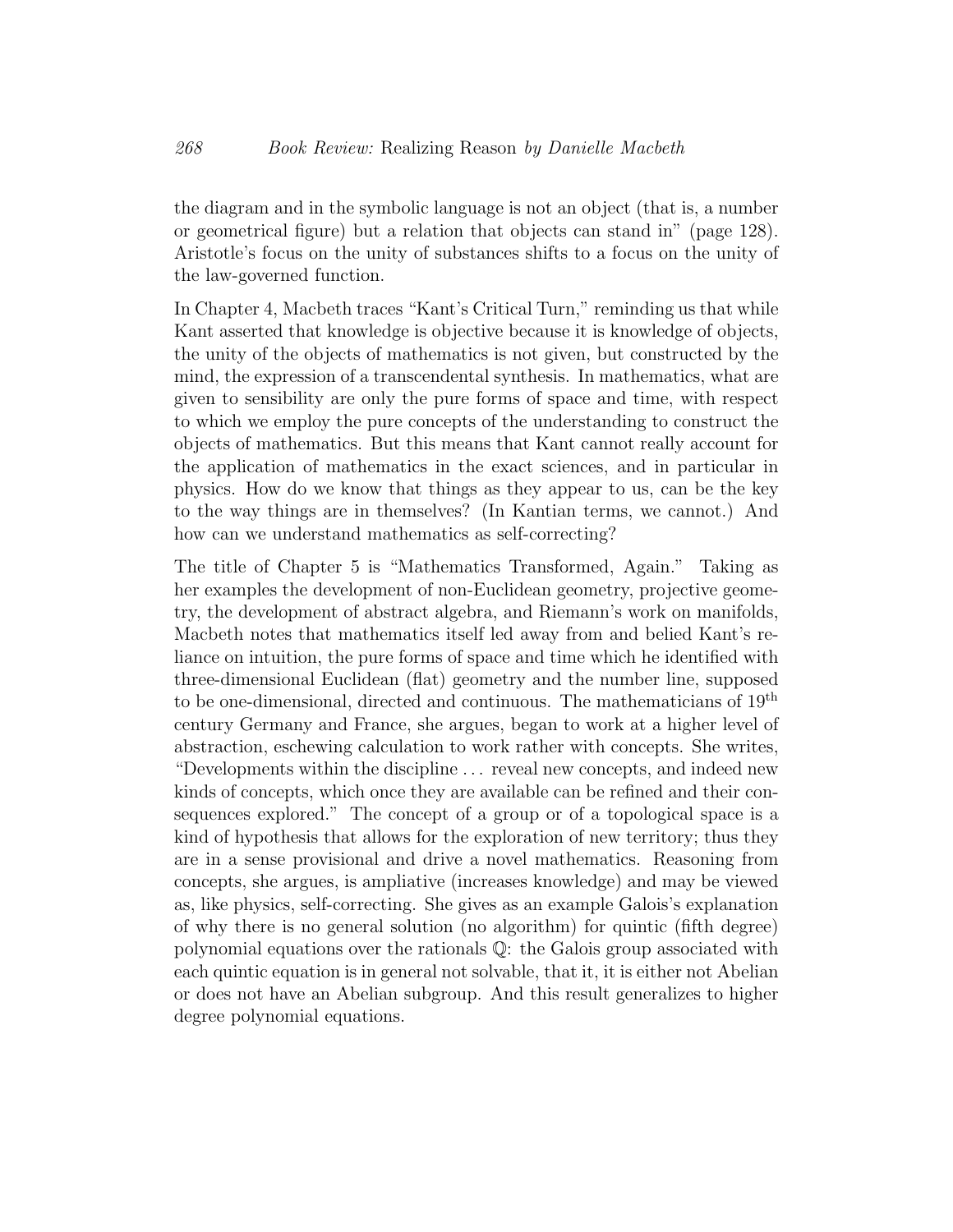the diagram and in the symbolic language is not an object (that is, a number or geometrical figure) but a relation that objects can stand in" (page 128). Aristotle's focus on the unity of substances shifts to a focus on the unity of the law-governed function.

In Chapter 4, Macbeth traces "Kant's Critical Turn," reminding us that while Kant asserted that knowledge is objective because it is knowledge of objects, the unity of the objects of mathematics is not given, but constructed by the mind, the expression of a transcendental synthesis. In mathematics, what are given to sensibility are only the pure forms of space and time, with respect to which we employ the pure concepts of the understanding to construct the objects of mathematics. But this means that Kant cannot really account for the application of mathematics in the exact sciences, and in particular in physics. How do we know that things as they appear to us, can be the key to the way things are in themselves? (In Kantian terms, we cannot.) And how can we understand mathematics as self-correcting?

The title of Chapter 5 is "Mathematics Transformed, Again." Taking as her examples the development of non-Euclidean geometry, projective geometry, the development of abstract algebra, and Riemann's work on manifolds, Macbeth notes that mathematics itself led away from and belied Kant's reliance on intuition, the pure forms of space and time which he identified with three-dimensional Euclidean (flat) geometry and the number line, supposed to be one-dimensional, directed and continuous. The mathematicians of 19th century Germany and France, she argues, began to work at a higher level of abstraction, eschewing calculation to work rather with concepts. She writes, "Developments within the discipline . . . reveal new concepts, and indeed new kinds of concepts, which once they are available can be refined and their consequences explored." The concept of a group or of a topological space is a kind of hypothesis that allows for the exploration of new territory; thus they are in a sense provisional and drive a novel mathematics. Reasoning from concepts, she argues, is ampliative (increases knowledge) and may be viewed as, like physics, self-correcting. She gives as an example Galois's explanation of why there is no general solution (no algorithm) for quintic (fifth degree) polynomial equations over the rationals Q: the Galois group associated with each quintic equation is in general not solvable, that it, it is either not Abelian or does not have an Abelian subgroup. And this result generalizes to higher degree polynomial equations.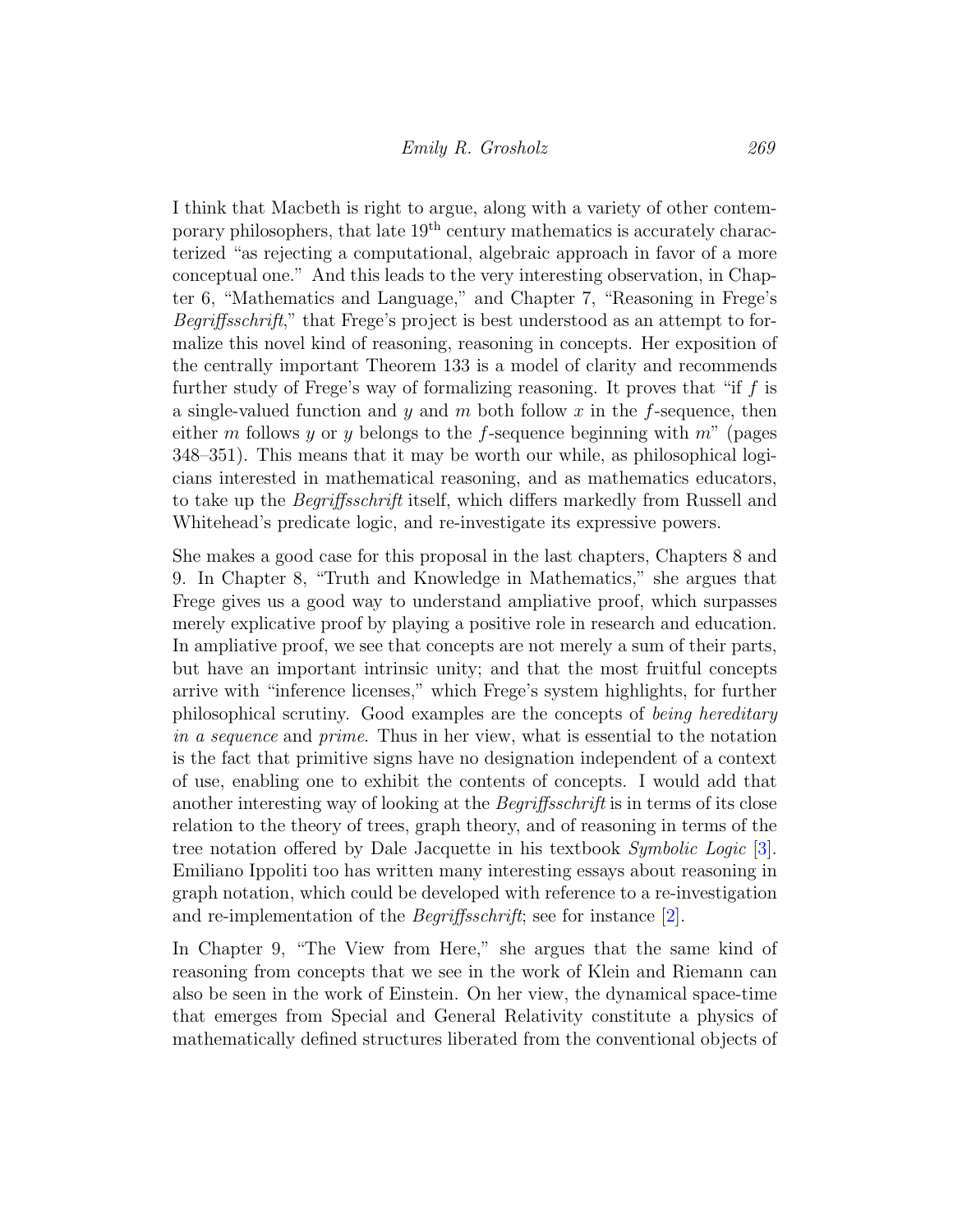I think that Macbeth is right to argue, along with a variety of other contemporary philosophers, that late  $19<sup>th</sup>$  century mathematics is accurately characterized "as rejecting a computational, algebraic approach in favor of a more conceptual one." And this leads to the very interesting observation, in Chapter 6, "Mathematics and Language," and Chapter 7, "Reasoning in Frege's Begriffsschrift," that Frege's project is best understood as an attempt to formalize this novel kind of reasoning, reasoning in concepts. Her exposition of the centrally important Theorem 133 is a model of clarity and recommends further study of Frege's way of formalizing reasoning. It proves that "if f is a single-valued function and y and m both follow x in the f-sequence, then either m follows y or y belongs to the f-sequence beginning with  $m$ " (pages 348–351). This means that it may be worth our while, as philosophical logicians interested in mathematical reasoning, and as mathematics educators, to take up the Begriffsschrift itself, which differs markedly from Russell and Whitehead's predicate logic, and re-investigate its expressive powers.

She makes a good case for this proposal in the last chapters, Chapters 8 and 9. In Chapter 8, "Truth and Knowledge in Mathematics," she argues that Frege gives us a good way to understand ampliative proof, which surpasses merely explicative proof by playing a positive role in research and education. In ampliative proof, we see that concepts are not merely a sum of their parts, but have an important intrinsic unity; and that the most fruitful concepts arrive with "inference licenses," which Frege's system highlights, for further philosophical scrutiny. Good examples are the concepts of being hereditary in a sequence and prime. Thus in her view, what is essential to the notation is the fact that primitive signs have no designation independent of a context of use, enabling one to exhibit the contents of concepts. I would add that another interesting way of looking at the Begriffsschrift is in terms of its close relation to the theory of trees, graph theory, and of reasoning in terms of the tree notation offered by Dale Jacquette in his textbook Symbolic Logic [\[3\]](#page-12-0). Emiliano Ippoliti too has written many interesting essays about reasoning in graph notation, which could be developed with reference to a re-investigation and re-implementation of the Begriffsschrift; see for instance [\[2\]](#page-12-1).

In Chapter 9, "The View from Here," she argues that the same kind of reasoning from concepts that we see in the work of Klein and Riemann can also be seen in the work of Einstein. On her view, the dynamical space-time that emerges from Special and General Relativity constitute a physics of mathematically defined structures liberated from the conventional objects of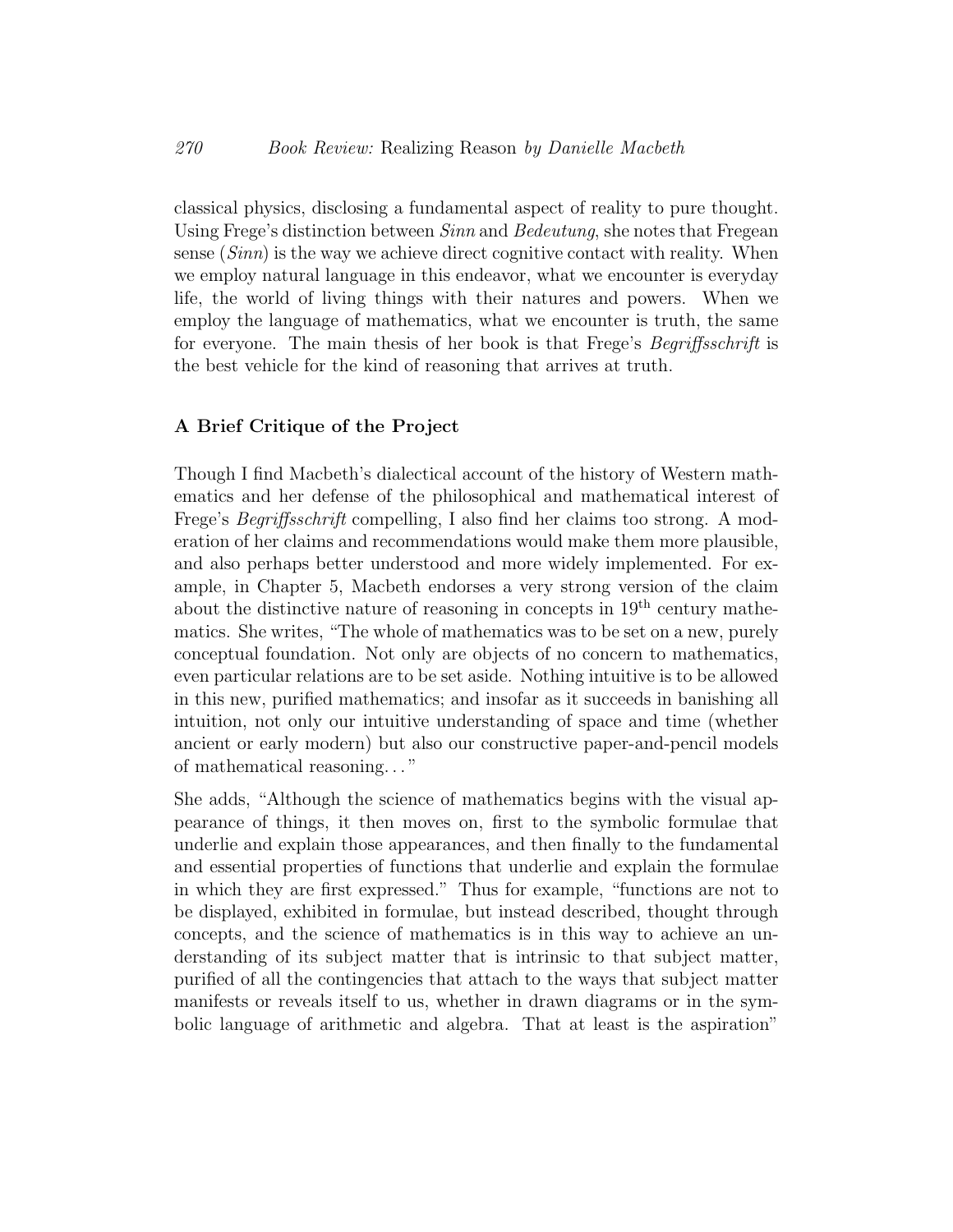classical physics, disclosing a fundamental aspect of reality to pure thought. Using Frege's distinction between Sinn and Bedeutung, she notes that Fregean sense  $(Sinn)$  is the way we achieve direct cognitive contact with reality. When we employ natural language in this endeavor, what we encounter is everyday life, the world of living things with their natures and powers. When we employ the language of mathematics, what we encounter is truth, the same for everyone. The main thesis of her book is that Frege's Begriffsschrift is the best vehicle for the kind of reasoning that arrives at truth.

### A Brief Critique of the Project

Though I find Macbeth's dialectical account of the history of Western mathematics and her defense of the philosophical and mathematical interest of Frege's Begriffsschrift compelling, I also find her claims too strong. A moderation of her claims and recommendations would make them more plausible, and also perhaps better understood and more widely implemented. For example, in Chapter 5, Macbeth endorses a very strong version of the claim about the distinctive nature of reasoning in concepts in  $19<sup>th</sup>$  century mathematics. She writes, "The whole of mathematics was to be set on a new, purely conceptual foundation. Not only are objects of no concern to mathematics, even particular relations are to be set aside. Nothing intuitive is to be allowed in this new, purified mathematics; and insofar as it succeeds in banishing all intuition, not only our intuitive understanding of space and time (whether ancient or early modern) but also our constructive paper-and-pencil models of mathematical reasoning. . . "

She adds, "Although the science of mathematics begins with the visual appearance of things, it then moves on, first to the symbolic formulae that underlie and explain those appearances, and then finally to the fundamental and essential properties of functions that underlie and explain the formulae in which they are first expressed." Thus for example, "functions are not to be displayed, exhibited in formulae, but instead described, thought through concepts, and the science of mathematics is in this way to achieve an understanding of its subject matter that is intrinsic to that subject matter, purified of all the contingencies that attach to the ways that subject matter manifests or reveals itself to us, whether in drawn diagrams or in the symbolic language of arithmetic and algebra. That at least is the aspiration"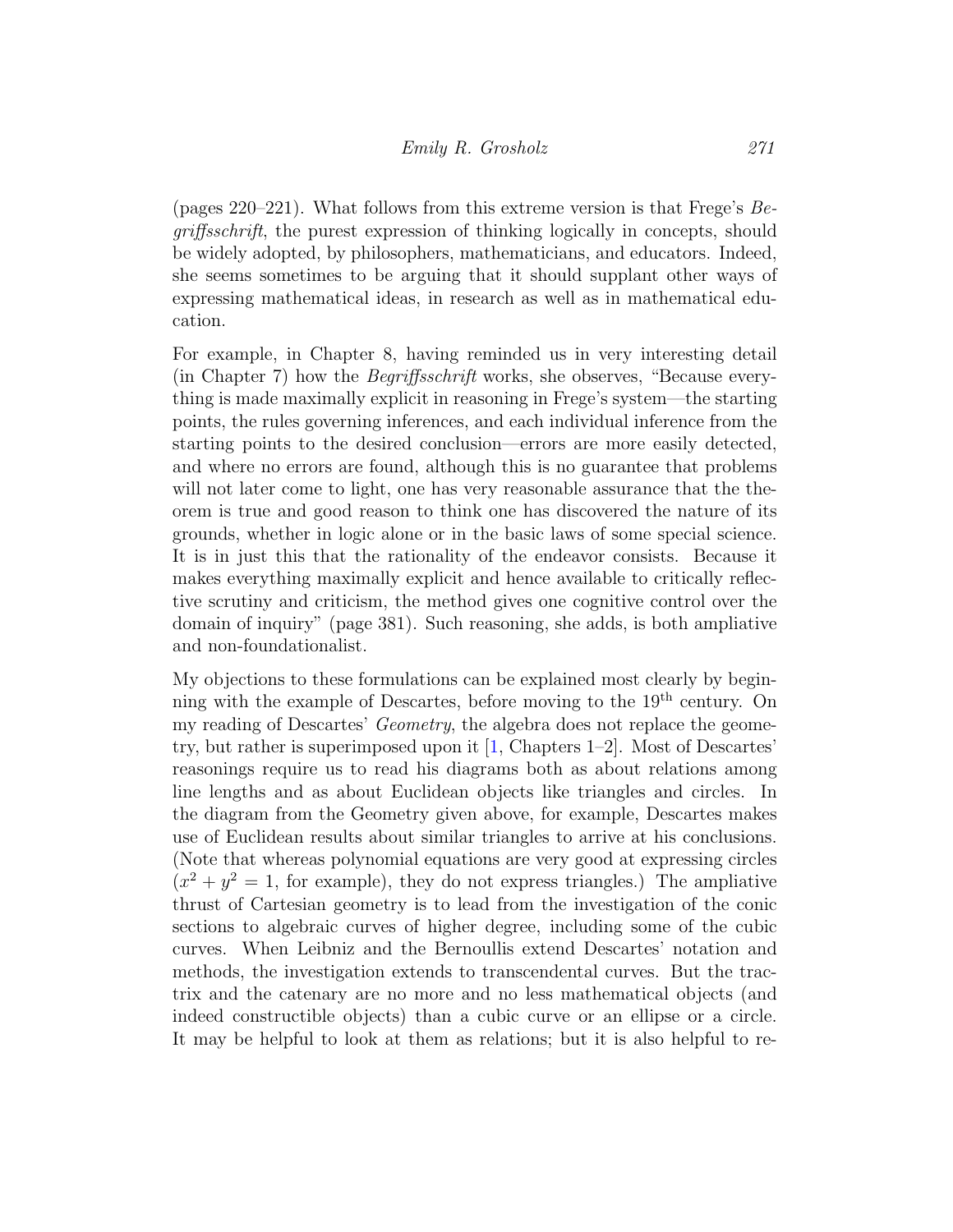(pages 220–221). What follows from this extreme version is that Frege's Begriffsschrift, the purest expression of thinking logically in concepts, should be widely adopted, by philosophers, mathematicians, and educators. Indeed, she seems sometimes to be arguing that it should supplant other ways of expressing mathematical ideas, in research as well as in mathematical education.

For example, in Chapter 8, having reminded us in very interesting detail (in Chapter 7) how the Begriffsschrift works, she observes, "Because everything is made maximally explicit in reasoning in Frege's system—the starting points, the rules governing inferences, and each individual inference from the starting points to the desired conclusion—errors are more easily detected, and where no errors are found, although this is no guarantee that problems will not later come to light, one has very reasonable assurance that the theorem is true and good reason to think one has discovered the nature of its grounds, whether in logic alone or in the basic laws of some special science. It is in just this that the rationality of the endeavor consists. Because it makes everything maximally explicit and hence available to critically reflective scrutiny and criticism, the method gives one cognitive control over the domain of inquiry" (page 381). Such reasoning, she adds, is both ampliative and non-foundationalist.

My objections to these formulations can be explained most clearly by beginning with the example of Descartes, before moving to the  $19<sup>th</sup>$  century. On my reading of Descartes' *Geometry*, the algebra does not replace the geometry, but rather is superimposed upon it [\[1,](#page-12-2) Chapters 1–2]. Most of Descartes' reasonings require us to read his diagrams both as about relations among line lengths and as about Euclidean objects like triangles and circles. In the diagram from the Geometry given above, for example, Descartes makes use of Euclidean results about similar triangles to arrive at his conclusions. (Note that whereas polynomial equations are very good at expressing circles  $(x^{2} + y^{2} = 1$ , for example), they do not express triangles.) The ampliative thrust of Cartesian geometry is to lead from the investigation of the conic sections to algebraic curves of higher degree, including some of the cubic curves. When Leibniz and the Bernoullis extend Descartes' notation and methods, the investigation extends to transcendental curves. But the tractrix and the catenary are no more and no less mathematical objects (and indeed constructible objects) than a cubic curve or an ellipse or a circle. It may be helpful to look at them as relations; but it is also helpful to re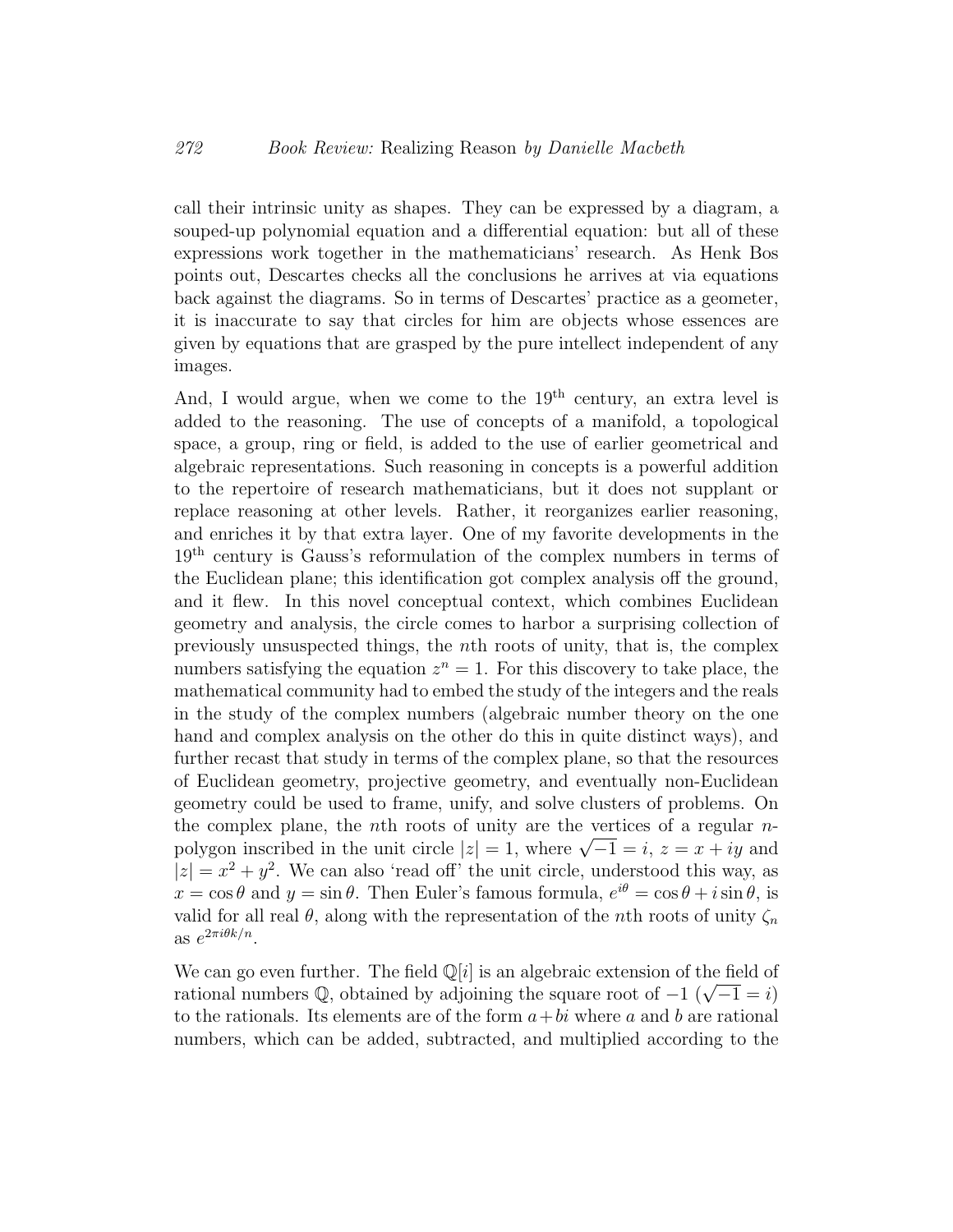call their intrinsic unity as shapes. They can be expressed by a diagram, a souped-up polynomial equation and a differential equation: but all of these expressions work together in the mathematicians' research. As Henk Bos points out, Descartes checks all the conclusions he arrives at via equations back against the diagrams. So in terms of Descartes' practice as a geometer, it is inaccurate to say that circles for him are objects whose essences are given by equations that are grasped by the pure intellect independent of any images.

And, I would argue, when we come to the  $19<sup>th</sup>$  century, an extra level is added to the reasoning. The use of concepts of a manifold, a topological space, a group, ring or field, is added to the use of earlier geometrical and algebraic representations. Such reasoning in concepts is a powerful addition to the repertoire of research mathematicians, but it does not supplant or replace reasoning at other levels. Rather, it reorganizes earlier reasoning, and enriches it by that extra layer. One of my favorite developments in the 19th century is Gauss's reformulation of the complex numbers in terms of the Euclidean plane; this identification got complex analysis off the ground, and it flew. In this novel conceptual context, which combines Euclidean geometry and analysis, the circle comes to harbor a surprising collection of previously unsuspected things, the nth roots of unity, that is, the complex numbers satisfying the equation  $z^n = 1$ . For this discovery to take place, the mathematical community had to embed the study of the integers and the reals in the study of the complex numbers (algebraic number theory on the one hand and complex analysis on the other do this in quite distinct ways), and further recast that study in terms of the complex plane, so that the resources of Euclidean geometry, projective geometry, and eventually non-Euclidean geometry could be used to frame, unify, and solve clusters of problems. On the complex plane, the nth roots of unity are the vertices of a regular  $n$ the complex plane, the *n*th roots of unity are the vertices of a regular *n*-<br>polygon inscribed in the unit circle  $|z| = 1$ , where  $\sqrt{-1} = i$ ,  $z = x + iy$  and  $|z| = x^2 + y^2$ . We can also 'read off' the unit circle, understood this way, as  $x = \cos \theta$  and  $y = \sin \theta$ . Then Euler's famous formula,  $e^{i\theta} = \cos \theta + i \sin \theta$ , is valid for all real  $\theta$ , along with the representation of the *n*th roots of unity  $\zeta_n$ as  $e^{2\pi i \theta k/n}$ .

We can go even further. The field  $\mathbb{Q}[i]$  is an algebraic extension of the field of we can go even further. The field  $\mathbb{Q}[i]$  is an algebraic extension of the field of rational numbers  $\mathbb{Q}$ , obtained by adjoining the square root of  $-1$  ( $\sqrt{-1} = i$ ) to the rationals. Its elements are of the form  $a+bi$  where a and b are rational numbers, which can be added, subtracted, and multiplied according to the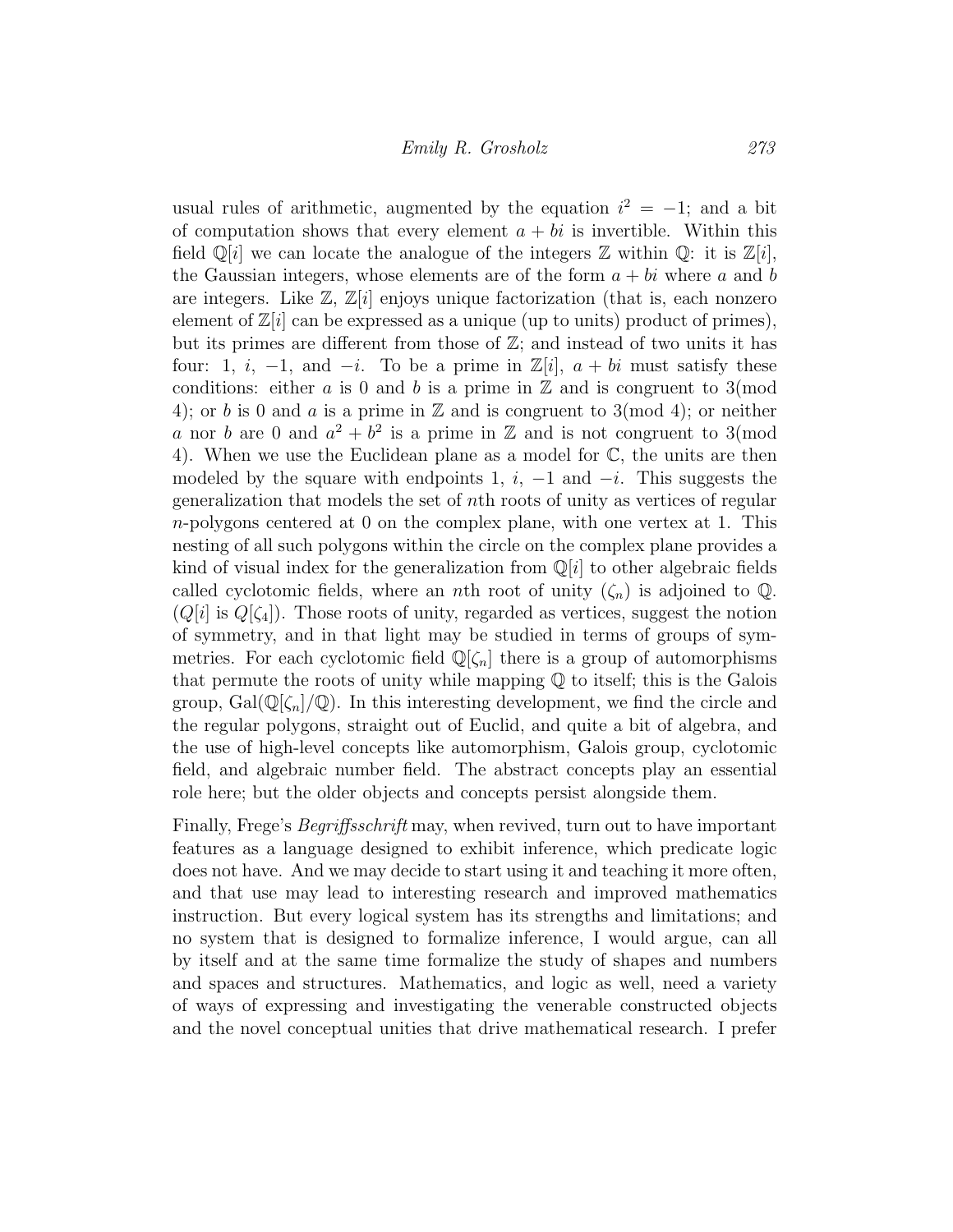usual rules of arithmetic, augmented by the equation  $i^2 = -1$ ; and a bit of computation shows that every element  $a + bi$  is invertible. Within this field  $\mathbb{Q}[i]$  we can locate the analogue of the integers  $\mathbb Z$  within  $\mathbb Q$ : it is  $\mathbb{Z}[i]$ , the Gaussian integers, whose elements are of the form  $a + bi$  where a and b are integers. Like  $\mathbb{Z}, \mathbb{Z}[i]$  enjoys unique factorization (that is, each nonzero element of  $\mathbb{Z}[i]$  can be expressed as a unique (up to units) product of primes), but its primes are different from those of  $\mathbb{Z}$ ; and instead of two units it has four: 1, i, -1, and -i. To be a prime in  $\mathbb{Z}[i]$ ,  $a + bi$  must satisfy these conditions: either a is 0 and b is a prime in  $\mathbb Z$  and is congruent to 3(mod 4); or b is 0 and a is a prime in  $\mathbb Z$  and is congruent to 3(mod 4); or neither a nor b are 0 and  $a^2 + b^2$  is a prime in Z and is not congruent to 3(mod 4). When we use the Euclidean plane as a model for C, the units are then modeled by the square with endpoints 1,  $i$ ,  $-1$  and  $-i$ . This suggests the generalization that models the set of nth roots of unity as vertices of regular  $n$ -polygons centered at 0 on the complex plane, with one vertex at 1. This nesting of all such polygons within the circle on the complex plane provides a kind of visual index for the generalization from  $\mathbb{Q}[i]$  to other algebraic fields called cyclotomic fields, where an *n*th root of unity  $(\zeta_n)$  is adjoined to Q.  $(Q[i]$  is  $Q[\zeta_4]$ . Those roots of unity, regarded as vertices, suggest the notion of symmetry, and in that light may be studied in terms of groups of symmetries. For each cyclotomic field  $\mathbb{Q}[\zeta_n]$  there is a group of automorphisms that permute the roots of unity while mapping  $\mathbb Q$  to itself; this is the Galois group,  $Gal(\mathbb{Q}[\zeta_n]/\mathbb{Q})$ . In this interesting development, we find the circle and the regular polygons, straight out of Euclid, and quite a bit of algebra, and the use of high-level concepts like automorphism, Galois group, cyclotomic field, and algebraic number field. The abstract concepts play an essential role here; but the older objects and concepts persist alongside them.

Finally, Frege's Begriffsschrift may, when revived, turn out to have important features as a language designed to exhibit inference, which predicate logic does not have. And we may decide to start using it and teaching it more often, and that use may lead to interesting research and improved mathematics instruction. But every logical system has its strengths and limitations; and no system that is designed to formalize inference, I would argue, can all by itself and at the same time formalize the study of shapes and numbers and spaces and structures. Mathematics, and logic as well, need a variety of ways of expressing and investigating the venerable constructed objects and the novel conceptual unities that drive mathematical research. I prefer